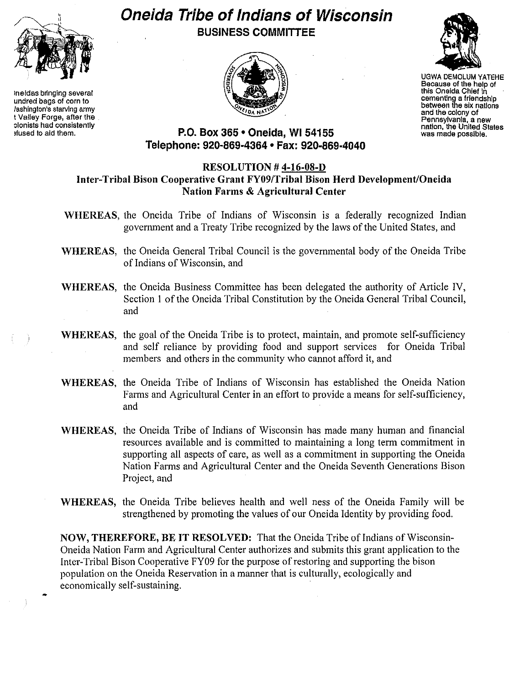

Ineldas bringing several undred bags of corn to lashington's starving army t Valley Forge, after the olonists had consistently ,fused to aid them.

# **Oneida Tribe of Indians of Wisconsin BUSINESS COMMITTEE**





UGWA DEMOLUM YATEHE Because of the help of this Oneida Chief in **cementing a friendshIp** between the six nations and the colony of Pennsylvania, a new nation, the United States was made possible.

# **P.O. Box 365· Oneida,** WI 54155 **Telephone: 920·869·4364 • Fax: 920·869·4040**

### **RESOLUTION # 4-16-08-D Inter-Tribal Bison Cooperative Grant FY09/Tribal Bison Herd Development/Oneida Nation Farms & Agricultural Center**

- **WHEREAS,** the Oneida Tribe of Indians of Wisconsin is a federally recognized Indian government and a Treaty Tribe recognized by the laws of the United States, and
- **WHEREAS,** the Oneida General Tribal Council is the governmental body of the Oneida Tribe of Indians of Wisconsin, and
- **WHEREAS,** the Oneida Business Committee has been delegated the authority of Article IV, Section 1 of the Oneida Tribal Constitution by the Oneida General Tribal Council, and
- **WHEREAS,** the goal of the Oneida Tribe is to protect, maintain, and promote self-sufficiency and self reliance by providing food and support services for Oneida Tribal members and others in the community who cannot afford it, and
- **WHEREAS,** the Oneida Tribe of Indians of Wisconsin has established the Oneida Nation Farms and Agricultural Center in an effort to provide a means for self-sufficiency, and
- **WHEREAS,** the Oneida Tribe of Indians of Wisconsin has made many human and financial resources available and is committed to maintaining a long term commitment in supporting all aspects of care, as well as a commitment in supporting the Oneida Nation Farms and Agricultural Center and the Oneida Seventh Generations Bison Project, and
- **WHEREAS,** the Oneida Tribe believes health and well ness of the Oneida Family will be strengthened by promoting the values of our Oneida Identity by providing food.

**NOW, THEREFORE, BE IT RESOLVED:** That the Oneida Tribe of Indians of Wisconsin-Oneida Nation Farm and Agricultural Center authorizes and submits this grant application to the Inter-Tribal Bison Cooperative FY09 for the purpose of restoring and supporting the bison population on the Oneida Reservation in a manner that is culturally, ecologically and economically self-sustaining. •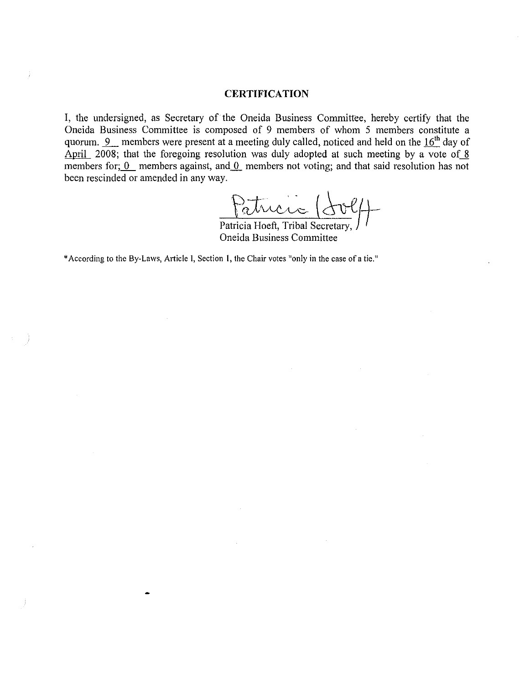#### **CERTIFICATION**

I, the undersigned, as Secretary of the Oneida Business Commitfee, hereby certify that the Oneida Business Committee is composed of 9 members of whom 5 members constitute a quorum. 9 members were present at a meeting duly called, noticed and held on the 16<sup>th</sup> day of April 2008; that the foregoing resolution was duly adopted at such meeting by a vote of  $\frac{8}{5}$ members for;  $\overline{0}$  members against, and  $\overline{0}$  members not voting; and that said resolution has not been rescinded or amended in any way.

Patricia (dolf)

Patricia Hoeft, Tribal Secretary, J Oneida Business Committee

\*According to the By-Laws, Article I, Section 1, the Chair votes "only in the case of a tie."